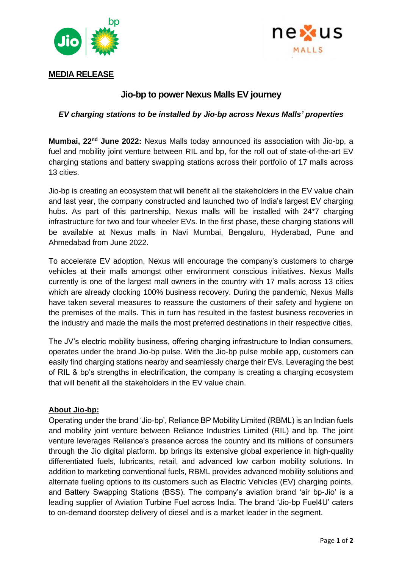



## **MEDIA RELEASE**

## **Jio-bp to power Nexus Malls EV journey**

*EV charging stations to be installed by Jio-bp across Nexus Malls' properties* 

**Mumbai, 22nd June 2022:** Nexus Malls today announced its association with Jio-bp, a fuel and mobility joint venture between RIL and bp, for the roll out of state-of-the-art EV charging stations and battery swapping stations across their portfolio of 17 malls across 13 cities.

Jio-bp is creating an ecosystem that will benefit all the stakeholders in the EV value chain and last year, the company constructed and launched two of India's largest EV charging hubs. As part of this partnership, Nexus malls will be installed with 24\*7 charging infrastructure for two and four wheeler EVs. In the first phase, these charging stations will be available at Nexus malls in Navi Mumbai, Bengaluru, Hyderabad, Pune and Ahmedabad from June 2022.

To accelerate EV adoption, Nexus will encourage the company's customers to charge vehicles at their malls amongst other environment conscious initiatives. Nexus Malls currently is one of the largest mall owners in the country with 17 malls across 13 cities which are already clocking 100% business recovery. During the pandemic, Nexus Malls have taken several measures to reassure the customers of their safety and hygiene on the premises of the malls. This in turn has resulted in the fastest business recoveries in the industry and made the malls the most preferred destinations in their respective cities.

The JV's electric mobility business, offering charging infrastructure to Indian consumers, operates under the brand Jio-bp pulse. With the Jio-bp pulse mobile app, customers can easily find charging stations nearby and seamlessly charge their EVs. Leveraging the best of RIL & bp's strengths in electrification, the company is creating a charging ecosystem that will benefit all the stakeholders in the EV value chain.

## **About Jio-bp:**

Operating under the brand 'Jio-bp', Reliance BP Mobility Limited (RBML) is an Indian fuels and mobility joint venture between Reliance Industries Limited (RIL) and bp. The joint venture leverages Reliance's presence across the country and its millions of consumers through the Jio digital platform. bp brings its extensive global experience in high-quality differentiated fuels, lubricants, retail, and advanced low carbon mobility solutions. In addition to marketing conventional fuels, RBML provides advanced mobility solutions and alternate fueling options to its customers such as Electric Vehicles (EV) charging points, and Battery Swapping Stations (BSS). The company's aviation brand 'air bp-Jio' is a leading supplier of Aviation Turbine Fuel across India. The brand 'Jio-bp Fuel4U' caters to on-demand doorstep delivery of diesel and is a market leader in the segment.